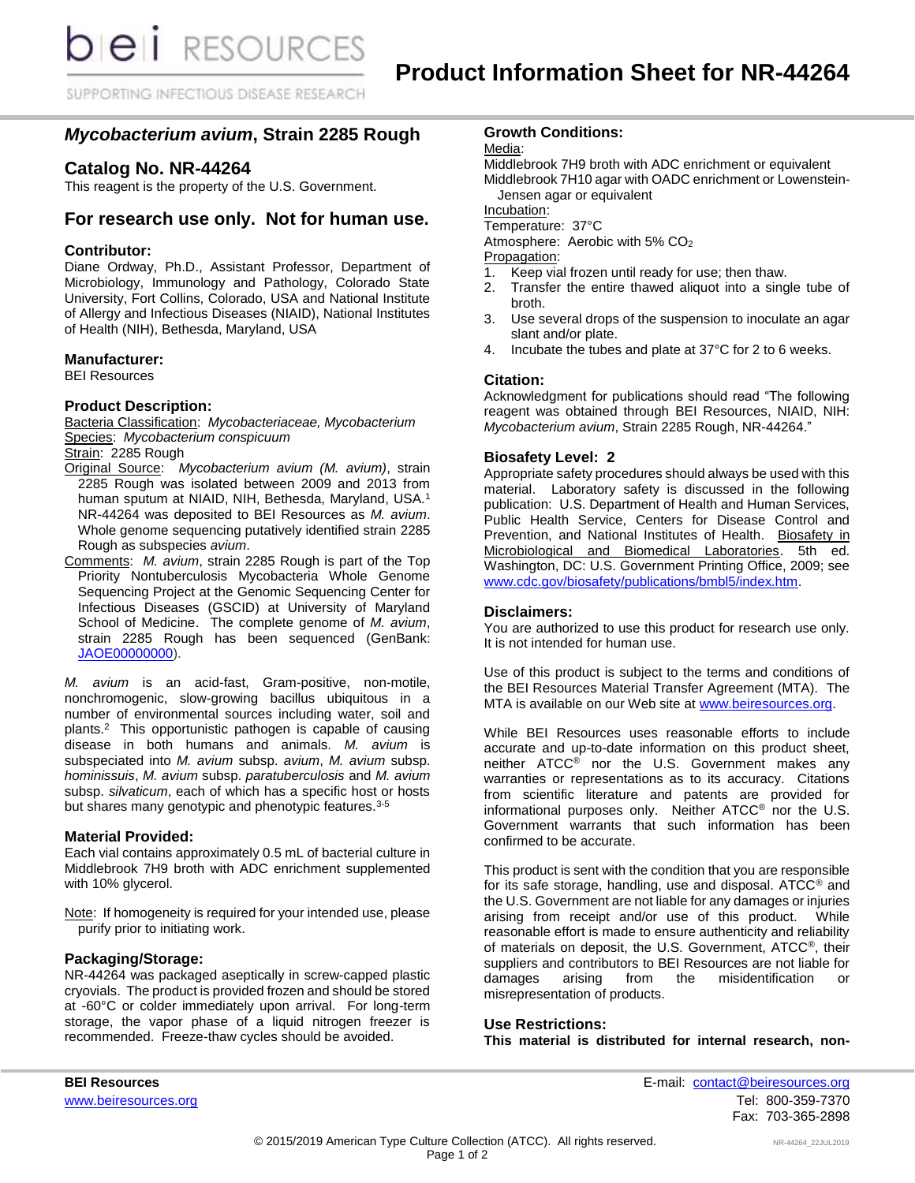**DIEII** RESOURCES

SUPPORTING INFECTIOUS DISEASE RESEARCH

# *Mycobacterium avium***, Strain 2285 Rough**

# **Catalog No. NR-44264**

This reagent is the property of the U.S. Government.

# **For research use only. Not for human use.**

## **Contributor:**

Diane Ordway, Ph.D., Assistant Professor, Department of Microbiology, Immunology and Pathology, Colorado State University, Fort Collins, Colorado, USA and National Institute of Allergy and Infectious Diseases (NIAID), National Institutes of Health (NIH), Bethesda, Maryland, USA

### **Manufacturer:**

BEI Resources

### **Product Description:**

Bacteria Classification: *Mycobacteriaceae, Mycobacterium* Species: *Mycobacterium conspicuum*

Strain: 2285 Rough

- Original Source: *Mycobacterium avium (M. avium)*, strain 2285 Rough was isolated between 2009 and 2013 from human sputum at NIAID, NIH, Bethesda, Maryland, USA.<sup>1</sup> NR-44264 was deposited to BEI Resources as *M. avium*. Whole genome sequencing putatively identified strain 2285 Rough as subspecies *avium*.
- Comments: *M. avium*, strain 2285 Rough is part of the Top Priority Nontuberculosis Mycobacteria Whole Genome Sequencing Project at the Genomic Sequencing Center for Infectious Diseases (GSCID) at University of Maryland School of Medicine. The complete genome of *M. avium*, strain 2285 Rough has been sequenced (GenBank: [JAOE00000000\)](http://www.ncbi.nlm.nih.gov/nuccore/JAOE00000000).

*M. avium* is an acid-fast, Gram-positive, non-motile, nonchromogenic, slow-growing bacillus ubiquitous in a number of environmental sources including water, soil and plants.<sup>2</sup> This opportunistic pathogen is capable of causing disease in both humans and animals. *M. avium* is subspeciated into *M. avium* subsp. *avium*, *M. avium* subsp. *hominissuis*, *M. avium* subsp. *paratuberculosis* and *M. avium*  subsp. *silvaticum*, each of which has a specific host or hosts but shares many genotypic and phenotypic features.<sup>3-5</sup>

#### **Material Provided:**

Each vial contains approximately 0.5 mL of bacterial culture in Middlebrook 7H9 broth with ADC enrichment supplemented with 10% glycerol.

Note: If homogeneity is required for your intended use, please purify prior to initiating work.

#### **Packaging/Storage:**

NR-44264 was packaged aseptically in screw-capped plastic cryovials. The product is provided frozen and should be stored at -60°C or colder immediately upon arrival. For long-term storage, the vapor phase of a liquid nitrogen freezer is recommended. Freeze-thaw cycles should be avoided.

# **Growth Conditions:**

Media:

Middlebrook 7H9 broth with ADC enrichment or equivalent Middlebrook 7H10 agar with OADC enrichment or Lowenstein-Jensen agar or equivalent

Incubation:

Temperature: 37°C

Atmosphere: Aerobic with 5% CO<sup>2</sup>

Propagation:

- 1. Keep vial frozen until ready for use; then thaw.
- 2. Transfer the entire thawed aliquot into a single tube of broth.
- 3. Use several drops of the suspension to inoculate an agar slant and/or plate.
- 4. Incubate the tubes and plate at 37°C for 2 to 6 weeks.

### **Citation:**

Acknowledgment for publications should read "The following reagent was obtained through BEI Resources, NIAID, NIH: *Mycobacterium avium*, Strain 2285 Rough, NR-44264."

### **Biosafety Level: 2**

Appropriate safety procedures should always be used with this material. Laboratory safety is discussed in the following publication: U.S. Department of Health and Human Services, Public Health Service, Centers for Disease Control and Prevention, and National Institutes of Health. Biosafety in Microbiological and Biomedical Laboratories. 5th ed. Washington, DC: U.S. Government Printing Office, 2009; see [www.cdc.gov/biosafety/publications/bmbl5/index.htm.](http://www.cdc.gov/biosafety/publications/bmbl5/index.htm)

#### **Disclaimers:**

You are authorized to use this product for research use only. It is not intended for human use.

Use of this product is subject to the terms and conditions of the BEI Resources Material Transfer Agreement (MTA). The MTA is available on our Web site at [www.beiresources.org.](http://www.beiresources.org/)

While BEI Resources uses reasonable efforts to include accurate and up-to-date information on this product sheet, neither ATCC<sup>®</sup> nor the U.S. Government makes any warranties or representations as to its accuracy. Citations from scientific literature and patents are provided for informational purposes only. Neither ATCC® nor the U.S. Government warrants that such information has been confirmed to be accurate.

This product is sent with the condition that you are responsible for its safe storage, handling, use and disposal. ATCC® and the U.S. Government are not liable for any damages or injuries arising from receipt and/or use of this product. While reasonable effort is made to ensure authenticity and reliability of materials on deposit, the U.S. Government, ATCC®, their suppliers and contributors to BEI Resources are not liable for damages arising from the misidentification or misrepresentation of products.

# **Use Restrictions:**

**This material is distributed for internal research, non-**

**BEI Resources** E-mail: contact@beiresources.org www.beiresources.orgTel: 800-359-7370 Fax: 703-365-2898